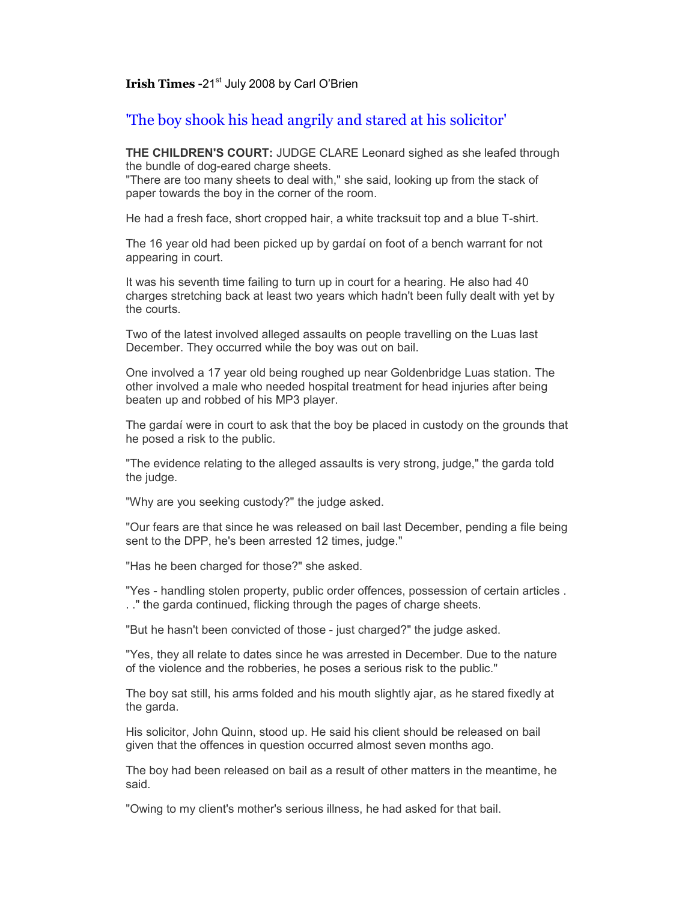## **Irish Times -21st July 2008 by Carl O'Brien**

'The boy shook his head angrily and stared at his solicitor'

**THE CHILDREN'S COURT:** JUDGE CLARE Leonard sighed as she leafed through the bundle of dog-eared charge sheets.

"There are too many sheets to deal with," she said, looking up from the stack of paper towards the boy in the corner of the room.

He had a fresh face, short cropped hair, a white tracksuit top and a blue T-shirt.

The 16 year old had been picked up by gardaí on foot of a bench warrant for not appearing in court.

It was his seventh time failing to turn up in court for a hearing. He also had 40 charges stretching back at least two years which hadn't been fully dealt with yet by the courts.

Two of the latest involved alleged assaults on people travelling on the Luas last December. They occurred while the boy was out on bail.

One involved a 17 year old being roughed up near Goldenbridge Luas station. The other involved a male who needed hospital treatment for head injuries after being beaten up and robbed of his MP3 player.

The gardaí were in court to ask that the boy be placed in custody on the grounds that he posed a risk to the public.

"The evidence relating to the alleged assaults is very strong, judge," the garda told the *judge*.

"Why are you seeking custody?" the judge asked.

"Our fears are that since he was released on bail last December, pending a file being sent to the DPP, he's been arrested 12 times, judge."

"Has he been charged for those?" she asked.

"Yes - handling stolen property, public order offences, possession of certain articles . . ." the garda continued, flicking through the pages of charge sheets.

"But he hasn't been convicted of those - just charged?" the judge asked.

"Yes, they all relate to dates since he was arrested in December. Due to the nature of the violence and the robberies, he poses a serious risk to the public."

The boy sat still, his arms folded and his mouth slightly ajar, as he stared fixedly at the garda.

His solicitor, John Quinn, stood up. He said his client should be released on bail given that the offences in question occurred almost seven months ago.

The boy had been released on bail as a result of other matters in the meantime, he said.

"Owing to my client's mother's serious illness, he had asked for that bail.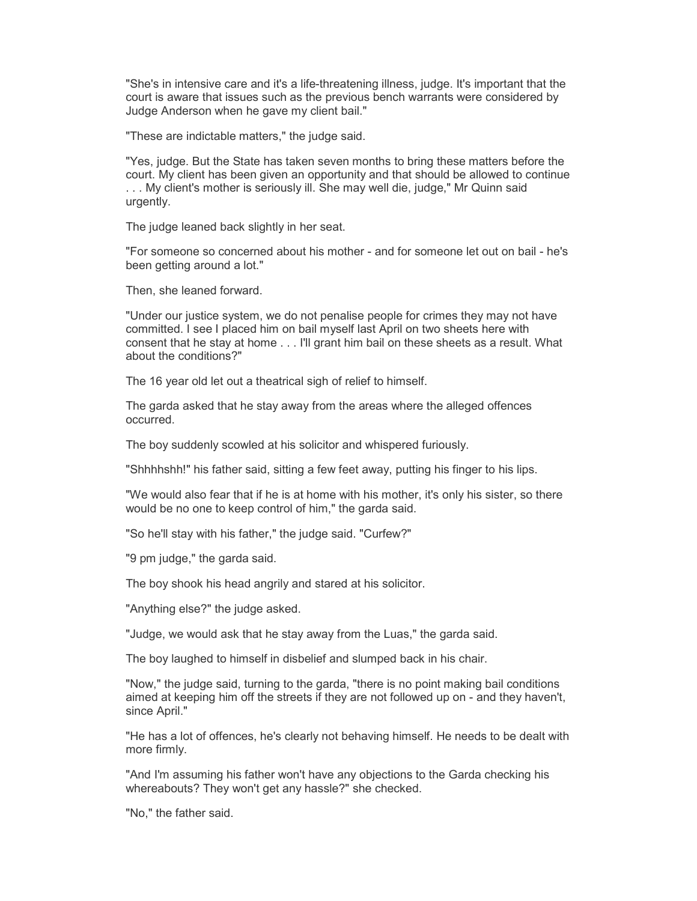"She's in intensive care and it's a life-threatening illness, judge. It's important that the court is aware that issues such as the previous bench warrants were considered by Judge Anderson when he gave my client bail."

"These are indictable matters," the judge said.

"Yes, judge. But the State has taken seven months to bring these matters before the court. My client has been given an opportunity and that should be allowed to continue . . . My client's mother is seriously ill. She may well die, judge," Mr Quinn said urgently.

The judge leaned back slightly in her seat.

"For someone so concerned about his mother - and for someone let out on bail - he's been getting around a lot."

Then, she leaned forward.

"Under our justice system, we do not penalise people for crimes they may not have committed. I see I placed him on bail myself last April on two sheets here with consent that he stay at home . . . I'll grant him bail on these sheets as a result. What about the conditions?"

The 16 year old let out a theatrical sigh of relief to himself.

The garda asked that he stay away from the areas where the alleged offences occurred.

The boy suddenly scowled at his solicitor and whispered furiously.

"Shhhhshh!" his father said, sitting a few feet away, putting his finger to his lips.

"We would also fear that if he is at home with his mother, it's only his sister, so there would be no one to keep control of him," the garda said.

"So he'll stay with his father," the judge said. "Curfew?"

"9 pm judge," the garda said.

The boy shook his head angrily and stared at his solicitor.

"Anything else?" the judge asked.

"Judge, we would ask that he stay away from the Luas," the garda said.

The boy laughed to himself in disbelief and slumped back in his chair.

"Now," the judge said, turning to the garda, "there is no point making bail conditions aimed at keeping him off the streets if they are not followed up on - and they haven't, since April."

"He has a lot of offences, he's clearly not behaving himself. He needs to be dealt with more firmly.

"And I'm assuming his father won't have any objections to the Garda checking his whereabouts? They won't get any hassle?" she checked.

"No," the father said.